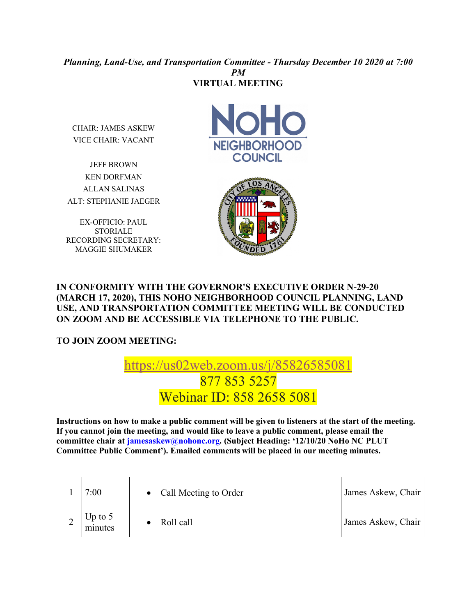## *Planning, Land-Use, and Transportation Committee - Thursday December 10 2020 at 7:00 PM* **VIRTUAL MEETING**

CHAIR: JAMES ASKEW VICE CHAIR: VACANT

JEFF BROWN KEN DORFMAN ALLAN SALINAS ALT: STEPHANIE JAEGER

EX-OFFICIO: PAUL STORIALE RECORDING SECRETARY: MAGGIE SHUMAKER





## **IN CONFORMITY WITH THE GOVERNOR'S EXECUTIVE ORDER N-29-20 (MARCH 17, 2020), THIS NOHO NEIGHBORHOOD COUNCIL PLANNING, LAND USE, AND TRANSPORTATION COMMITTEE MEETING WILL BE CONDUCTED ON ZOOM AND BE ACCESSIBLE VIA TELEPHONE TO THE PUBLIC.**

**TO JOIN ZOOM MEETING:** 

## https://us02web.zoom.us/j/85826585081 877 853 5257 Webinar ID: 858 2658 5081

**Instructions on how to make a public comment will be given to listeners at the start of the meeting. If you cannot join the meeting, and would like to leave a public comment, please email the committee chair at jamesaskew@nohonc.org. (Subject Heading: '12/10/20 NoHo NC PLUT Committee Public Comment'). Emailed comments will be placed in our meeting minutes.** 

| 7:00                 | Call Meeting to Order<br>$\bullet$ | James Askew, Chair |
|----------------------|------------------------------------|--------------------|
| Up to $5$<br>minutes | Roll call                          | James Askew, Chair |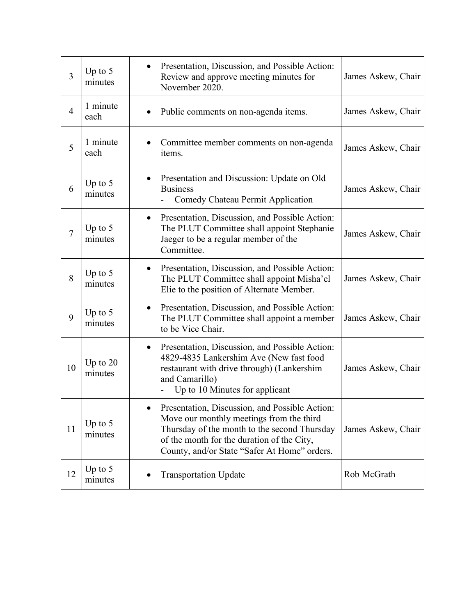| $\overline{3}$ | Up to $5$<br>minutes  | Presentation, Discussion, and Possible Action:<br>$\bullet$<br>Review and approve meeting minutes for<br>November 2020.                                                                                                                  | James Askew, Chair |
|----------------|-----------------------|------------------------------------------------------------------------------------------------------------------------------------------------------------------------------------------------------------------------------------------|--------------------|
| $\overline{4}$ | 1 minute<br>each      | Public comments on non-agenda items.                                                                                                                                                                                                     | James Askew, Chair |
| 5              | 1 minute<br>each      | Committee member comments on non-agenda<br>items.                                                                                                                                                                                        | James Askew, Chair |
| 6              | Up to $5$<br>minutes  | Presentation and Discussion: Update on Old<br>۰<br><b>Business</b><br>Comedy Chateau Permit Application                                                                                                                                  | James Askew, Chair |
| $\overline{7}$ | Up to $5$<br>minutes  | Presentation, Discussion, and Possible Action:<br>$\bullet$<br>The PLUT Committee shall appoint Stephanie<br>Jaeger to be a regular member of the<br>Committee.                                                                          | James Askew, Chair |
| 8              | Up to $5$<br>minutes  | Presentation, Discussion, and Possible Action:<br>$\bullet$<br>The PLUT Committee shall appoint Misha'el<br>Elie to the position of Alternate Member.                                                                                    | James Askew, Chair |
| 9              | Up to $5$<br>minutes  | Presentation, Discussion, and Possible Action:<br>$\bullet$<br>The PLUT Committee shall appoint a member<br>to be Vice Chair.                                                                                                            | James Askew, Chair |
| 10             | Up to $20$<br>minutes | Presentation, Discussion, and Possible Action:<br>$\bullet$<br>4829-4835 Lankershim Ave (New fast food<br>restaurant with drive through) (Lankershim<br>and Camarillo)<br>Up to 10 Minutes for applicant                                 | James Askew, Chair |
| 11             | Up to $5$<br>minutes  | Presentation, Discussion, and Possible Action:<br>Move our monthly meetings from the third<br>Thursday of the month to the second Thursday<br>of the month for the duration of the City,<br>County, and/or State "Safer At Home" orders. | James Askew, Chair |
| 12             | Up to $5$<br>minutes  | <b>Transportation Update</b>                                                                                                                                                                                                             | Rob McGrath        |